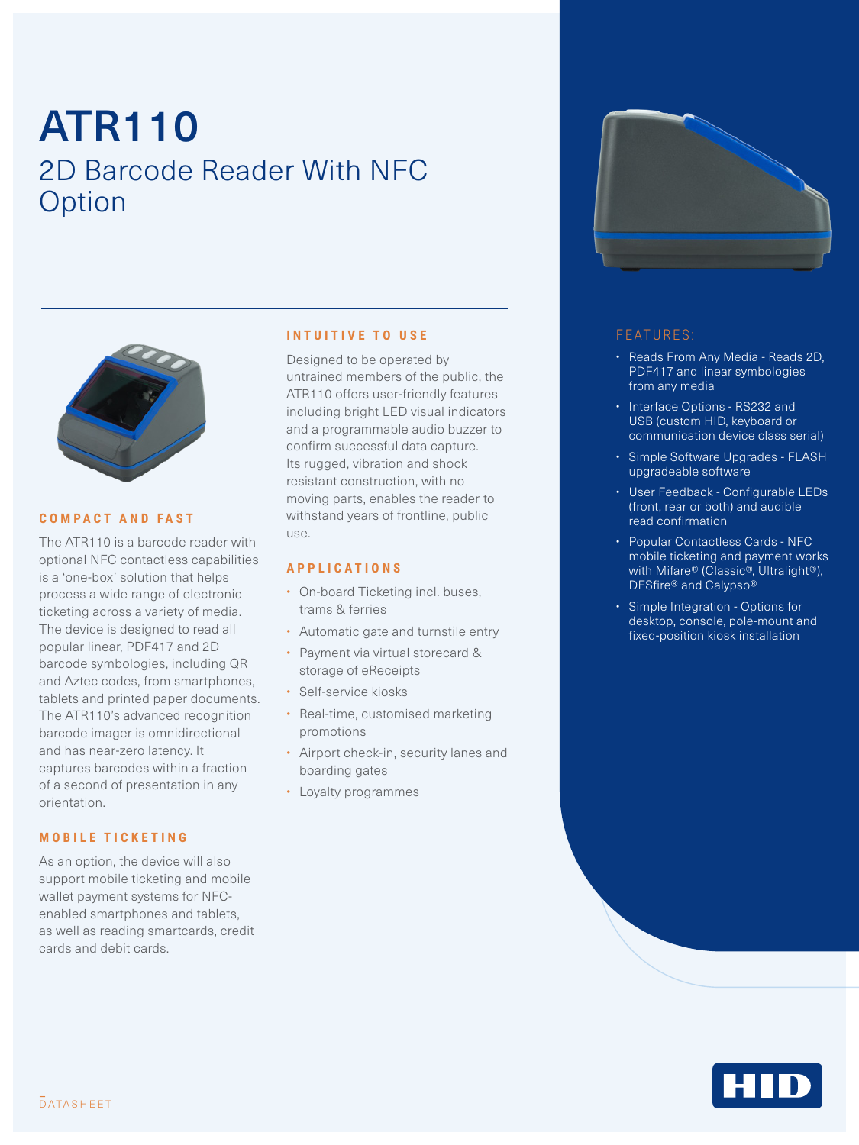# ATR110 2D Barcode Reader With NFC **Option**



#### **COMPACT AND FAST**

The ATR110 is a barcode reader with optional NFC contactless capabilities is a 'one-box' solution that helps process a wide range of electronic ticketing across a variety of media. The device is designed to read all popular linear, PDF417 and 2D barcode symbologies, including QR and Aztec codes, from smartphones, tablets and printed paper documents. The ATR110's advanced recognition barcode imager is omnidirectional and has near-zero latency. It captures barcodes within a fraction of a second of presentation in any orientation.

#### **MOBILE TICKETING**

As an option, the device will also support mobile ticketing and mobile wallet payment systems for NFCenabled smartphones and tablets, as well as reading smartcards, credit cards and debit cards.

#### **INTUITIVE TO USE**

Designed to be operated by untrained members of the public, the ATR110 offers user-friendly features including bright LED visual indicators and a programmable audio buzzer to confirm successful data capture. Its rugged, vibration and shock resistant construction, with no moving parts, enables the reader to withstand years of frontline, public use.

#### **APPLICATIONS**

- On-board Ticketing incl. buses. trams & ferries
- Automatic gate and turnstile entry
- Payment via virtual storecard & storage of eReceipts
- Self-service kiosks
- Real-time, customised marketing promotions
- Airport check-in, security lanes and boarding gates
- Loyalty programmes



#### FEATURES:

- Reads From Any Media Reads 2D, PDF417 and linear symbologies from any media
- Interface Options RS232 and USB (custom HID, keyboard or communication device class serial)
- Simple Software Upgrades FLASH upgradeable software
- User Feedback Configurable LEDs (front, rear or both) and audible read confirmation
- Popular Contactless Cards NFC mobile ticketing and payment works with Mifare® (Classic®, Ultralight®), DESfire® and Calypso®
- Simple Integration Options for desktop, console, pole-mount and fixed-position kiosk installation